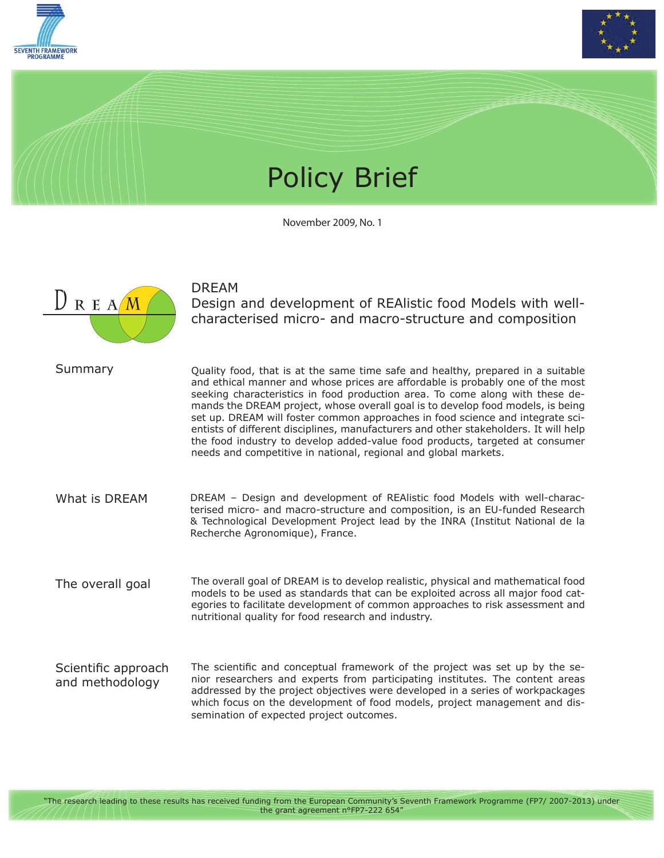



## Policy Brief

November 2009, No. 1



DREAM

Design and development of REAlistic food Models with wellcharacterised micro- and macro-structure and composition

Quality food, that is at the same time safe and healthy, prepared in a suitable and ethical manner and whose prices are affordable is probably one of the most seeking characteristics in food production area. To come along with these demands the DREAM project, whose overall goal is to develop food models, is being set up. DREAM will foster common approaches in food science and integrate scientists of different disciplines, manufacturers and other stakeholders. It will help the food industry to develop added-value food products, targeted at consumer needs and competitive in national, regional and global markets. Summary

What is DREAM DREAM – Design and development of REAlistic food Models with well-characterised micro- and macro-structure and composition, is an EU-funded Research & Technological Development Project lead by the INRA (Institut National de la Recherche Agronomique), France.

The overall goal of DREAM is to develop realistic, physical and mathematical food models to be used as standards that can be exploited across all major food categories to facilitate development of common approaches to risk assessment and nutritional quality for food research and industry. The overall goal

The scientific and conceptual framework of the project was set up by the senior researchers and experts from participating institutes. The content areas addressed by the project objectives were developed in a series of workpackages which focus on the development of food models, project management and dissemination of expected project outcomes. Scientific approach and methodology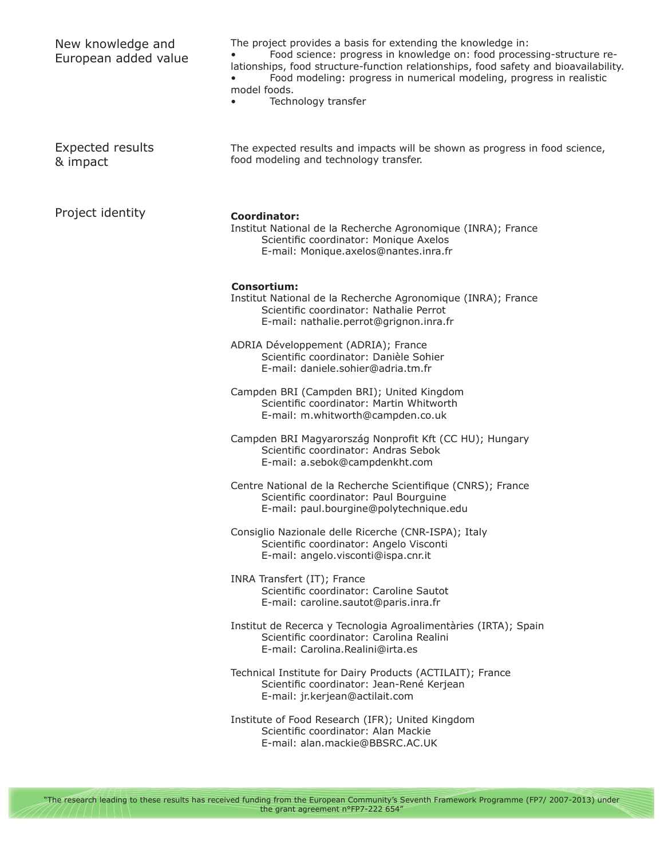| New knowledge and<br>European added value | The project provides a basis for extending the knowledge in:<br>Food science: progress in knowledge on: food processing-structure re-<br>lationships, food structure-function relationships, food safety and bioavailability.<br>Food modeling: progress in numerical modeling, progress in realistic<br>model foods.<br>Technology transfer |
|-------------------------------------------|----------------------------------------------------------------------------------------------------------------------------------------------------------------------------------------------------------------------------------------------------------------------------------------------------------------------------------------------|
| <b>Expected results</b><br>& impact       | The expected results and impacts will be shown as progress in food science,<br>food modeling and technology transfer.                                                                                                                                                                                                                        |
| Project identity                          | Coordinator:<br>Institut National de la Recherche Agronomique (INRA); France<br>Scientific coordinator: Monique Axelos<br>E-mail: Monique.axelos@nantes.inra.fr                                                                                                                                                                              |
|                                           | <b>Consortium:</b><br>Institut National de la Recherche Agronomique (INRA); France<br>Scientific coordinator: Nathalie Perrot<br>E-mail: nathalie.perrot@grignon.inra.fr                                                                                                                                                                     |
|                                           | ADRIA Développement (ADRIA); France<br>Scientific coordinator: Danièle Sohier<br>E-mail: daniele.sohier@adria.tm.fr                                                                                                                                                                                                                          |
|                                           | Campden BRI (Campden BRI); United Kingdom<br>Scientific coordinator: Martin Whitworth<br>E-mail: m.whitworth@campden.co.uk                                                                                                                                                                                                                   |
|                                           | Campden BRI Magyarország Nonprofit Kft (CC HU); Hungary<br>Scientific coordinator: Andras Sebok<br>E-mail: a.sebok@campdenkht.com                                                                                                                                                                                                            |
|                                           | Centre National de la Recherche Scientifique (CNRS); France<br>Scientific coordinator: Paul Bourguine<br>E-mail: paul.bourgine@polytechnique.edu                                                                                                                                                                                             |
|                                           | Consiglio Nazionale delle Ricerche (CNR-ISPA); Italy<br>Scientific coordinator: Angelo Visconti<br>E-mail: angelo.visconti@ispa.cnr.it                                                                                                                                                                                                       |
|                                           | INRA Transfert (IT); France<br>Scientific coordinator: Caroline Sautot<br>E-mail: caroline.sautot@paris.inra.fr                                                                                                                                                                                                                              |
|                                           | Institut de Recerca y Tecnologia Agroalimentàries (IRTA); Spain<br>Scientific coordinator: Carolina Realini<br>E-mail: Carolina.Realini@irta.es                                                                                                                                                                                              |
|                                           | Technical Institute for Dairy Products (ACTILAIT); France<br>Scientific coordinator: Jean-René Kerjean<br>E-mail: jr.kerjean@actilait.com                                                                                                                                                                                                    |
|                                           | Institute of Food Research (IFR); United Kingdom<br>Scientific coordinator: Alan Mackie<br>E-mail: alan.mackie@BBSRC.AC.UK                                                                                                                                                                                                                   |